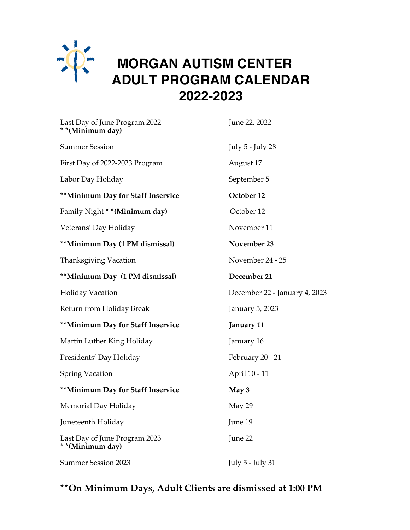

## **MORGAN AUTISM CENTER ADULT PROGRAM CALENDAR 2022-2023**

| Last Day of June Program 2022<br>* * (Minimum day) | June 22, 2022                 |
|----------------------------------------------------|-------------------------------|
| <b>Summer Session</b>                              | July 5 - July 28              |
| First Day of 2022-2023 Program                     | August 17                     |
| Labor Day Holiday                                  | September 5                   |
| **Minimum Day for Staff Inservice                  | October 12                    |
| Family Night * * (Minimum day)                     | October 12                    |
| Veterans' Day Holiday                              | November 11                   |
| **Minimum Day (1 PM dismissal)                     | November 23                   |
| <b>Thanksgiving Vacation</b>                       | November 24 - 25              |
| **Minimum Day (1 PM dismissal)                     | December 21                   |
| <b>Holiday Vacation</b>                            | December 22 - January 4, 2023 |
| Return from Holiday Break                          | January 5, 2023               |
| **Minimum Day for Staff Inservice                  | January 11                    |
| Martin Luther King Holiday                         | January 16                    |
| Presidents' Day Holiday                            | February 20 - 21              |
| <b>Spring Vacation</b>                             | April 10 - 11                 |
| **Minimum Day for Staff Inservice                  | May 3                         |
| Memorial Day Holiday                               | May 29                        |
| Juneteenth Holiday                                 | June 19                       |
| Last Day of June Program 2023<br>* * (Minimum day) | June 22                       |
| <b>Summer Session 2023</b>                         | July 5 - July 31              |

## **\*\*On Minimum Days, Adult Clients are dismissed at 1:00 PM**